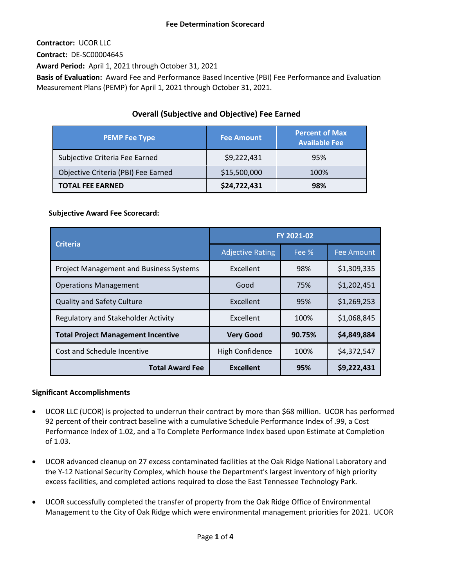**Contractor:** UCOR LLC

**Contract:** DE-SC00004645

**Award Period:** April 1, 2021 through October 31, 2021

**Basis of Evaluation:** Award Fee and Performance Based Incentive (PBI) Fee Performance and Evaluation Measurement Plans (PEMP) for April 1, 2021 through October 31, 2021.

# **Overall (Subjective and Objective) Fee Earned**

| <b>PEMP Fee Type</b>                | <b>Fee Amount</b> | <b>Percent of Max</b><br><b>Available Fee</b> |
|-------------------------------------|-------------------|-----------------------------------------------|
| Subjective Criteria Fee Earned      | \$9,222,431       | 95%                                           |
| Objective Criteria (PBI) Fee Earned | \$15,500,000      | 100%                                          |
| <b>TOTAL FEE EARNED</b>             | \$24,722,431      | 98%                                           |

# **Subjective Award Fee Scorecard:**

| <b>Criteria</b>                                | FY 2021-02              |        |                   |
|------------------------------------------------|-------------------------|--------|-------------------|
|                                                | <b>Adjective Rating</b> | Fee %  | <b>Fee Amount</b> |
| <b>Project Management and Business Systems</b> | Excellent               | 98%    | \$1,309,335       |
| <b>Operations Management</b>                   | Good                    | 75%    | \$1,202,451       |
| <b>Quality and Safety Culture</b>              | Excellent               | 95%    | \$1,269,253       |
| Regulatory and Stakeholder Activity            | Excellent               | 100%   | \$1,068,845       |
| <b>Total Project Management Incentive</b>      | <b>Very Good</b>        | 90.75% | \$4,849,884       |
| Cost and Schedule Incentive                    | High Confidence         | 100%   | \$4,372,547       |
| <b>Total Award Fee</b>                         | <b>Excellent</b>        | 95%    | \$9,222,431       |

# **Significant Accomplishments**

- UCOR LLC (UCOR) is projected to underrun their contract by more than \$68 million. UCOR has performed 92 percent of their contract baseline with a cumulative Schedule Performance Index of .99, a Cost Performance Index of 1.02, and a To Complete Performance Index based upon Estimate at Completion of 1.03.
- UCOR advanced cleanup on 27 excess contaminated facilities at the Oak Ridge National Laboratory and the Y-12 National Security Complex, which house the Department's largest inventory of high priority excess facilities, and completed actions required to close the East Tennessee Technology Park.
- UCOR successfully completed the transfer of property from the Oak Ridge Office of Environmental Management to the City of Oak Ridge which were environmental management priorities for 2021. UCOR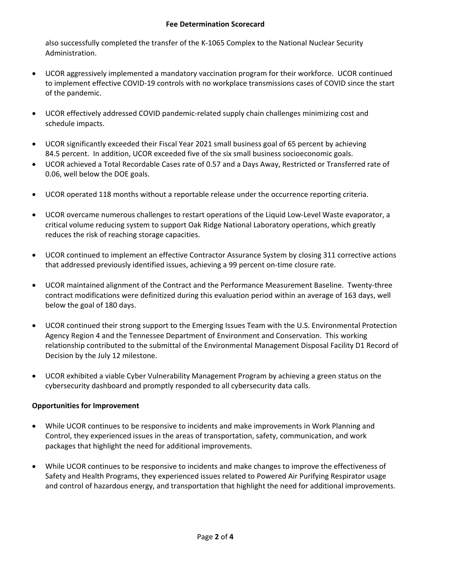### **Fee Determination Scorecard**

also successfully completed the transfer of the K-1065 Complex to the National Nuclear Security Administration.

- UCOR aggressively implemented a mandatory vaccination program for their workforce. UCOR continued to implement effective COVID-19 controls with no workplace transmissions cases of COVID since the start of the pandemic.
- UCOR effectively addressed COVID pandemic-related supply chain challenges minimizing cost and schedule impacts.
- UCOR significantly exceeded their Fiscal Year 2021 small business goal of 65 percent by achieving 84.5 percent. In addition, UCOR exceeded five of the six small business socioeconomic goals.
- UCOR achieved a Total Recordable Cases rate of 0.57 and a Days Away, Restricted or Transferred rate of 0.06, well below the DOE goals.
- UCOR operated 118 months without a reportable release under the occurrence reporting criteria.
- UCOR overcame numerous challenges to restart operations of the Liquid Low-Level Waste evaporator, a critical volume reducing system to support Oak Ridge National Laboratory operations, which greatly reduces the risk of reaching storage capacities.
- UCOR continued to implement an effective Contractor Assurance System by closing 311 corrective actions that addressed previously identified issues, achieving a 99 percent on-time closure rate.
- UCOR maintained alignment of the Contract and the Performance Measurement Baseline. Twenty-three contract modifications were definitized during this evaluation period within an average of 163 days, well below the goal of 180 days.
- UCOR continued their strong support to the Emerging Issues Team with the U.S. Environmental Protection Agency Region 4 and the Tennessee Department of Environment and Conservation. This working relationship contributed to the submittal of the Environmental Management Disposal Facility D1 Record of Decision by the July 12 milestone.
- UCOR exhibited a viable Cyber Vulnerability Management Program by achieving a green status on the cybersecurity dashboard and promptly responded to all cybersecurity data calls.

## **Opportunities for Improvement**

- While UCOR continues to be responsive to incidents and make improvements in Work Planning and Control, they experienced issues in the areas of transportation, safety, communication, and work packages that highlight the need for additional improvements.
- While UCOR continues to be responsive to incidents and make changes to improve the effectiveness of Safety and Health Programs, they experienced issues related to Powered Air Purifying Respirator usage and control of hazardous energy, and transportation that highlight the need for additional improvements.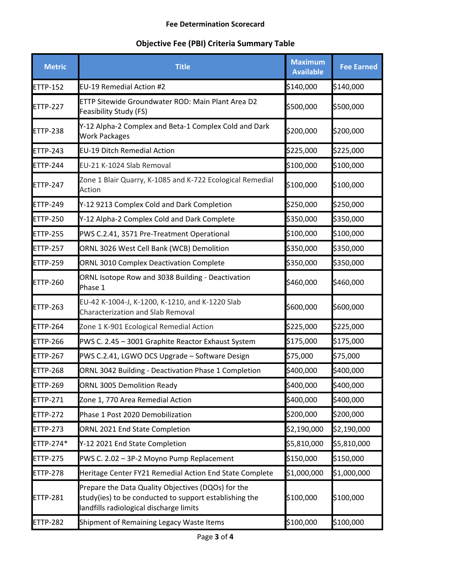#### **Fee Determination Scorecard**

# **Objective Fee (PBI) Criteria Summary Table**

| <b>Metric</b>    | <b>Title</b>                                                                                                                                            | <b>Maximum</b><br><b>Available</b> | <b>Fee Earned</b> |
|------------------|---------------------------------------------------------------------------------------------------------------------------------------------------------|------------------------------------|-------------------|
| <b>ETTP-152</b>  | EU-19 Remedial Action #2                                                                                                                                | \$140,000                          | \$140,000         |
| ETTP-227         | ETTP Sitewide Groundwater ROD: Main Plant Area D2<br>Feasibility Study (FS)                                                                             | \$500,000                          | \$500,000         |
| <b>ETTP-238</b>  | Y-12 Alpha-2 Complex and Beta-1 Complex Cold and Dark<br><b>Work Packages</b>                                                                           | \$200,000                          | \$200,000         |
| <b>ETTP-243</b>  | <b>EU-19 Ditch Remedial Action</b>                                                                                                                      | \$225,000                          | \$225,000         |
| <b>ETTP-244</b>  | EU-21 K-1024 Slab Removal                                                                                                                               | \$100,000                          | \$100,000         |
| <b>ETTP-247</b>  | Zone 1 Blair Quarry, K-1085 and K-722 Ecological Remedial<br>Action                                                                                     | \$100,000                          | \$100,000         |
| <b>ETTP-249</b>  | Y-12 9213 Complex Cold and Dark Completion                                                                                                              | \$250,000                          | \$250,000         |
| <b>ETTP-250</b>  | Y-12 Alpha-2 Complex Cold and Dark Complete                                                                                                             | \$350,000                          | \$350,000         |
| <b>ETTP-255</b>  | PWS C.2.41, 3571 Pre-Treatment Operational                                                                                                              | \$100,000                          | \$100,000         |
| <b>ETTP-257</b>  | ORNL 3026 West Cell Bank (WCB) Demolition                                                                                                               | \$350,000                          | \$350,000         |
| <b>ETTP-259</b>  | <b>ORNL 3010 Complex Deactivation Complete</b>                                                                                                          | \$350,000                          | \$350,000         |
| <b>ETTP-260</b>  | ORNL Isotope Row and 3038 Building - Deactivation<br>Phase 1                                                                                            | \$460,000                          | \$460,000         |
| <b>ETTP-263</b>  | EU-42 K-1004-J, K-1200, K-1210, and K-1220 Slab<br><b>Characterization and Slab Removal</b>                                                             | \$600,000                          | \$600,000         |
| <b>ETTP-264</b>  | Zone 1 K-901 Ecological Remedial Action                                                                                                                 | \$225,000                          | \$225,000         |
| <b>ETTP-266</b>  | PWS C. 2.45 - 3001 Graphite Reactor Exhaust System                                                                                                      | \$175,000                          | \$175,000         |
| <b>ETTP-267</b>  | PWS C.2.41, LGWO DCS Upgrade - Software Design                                                                                                          | \$75,000                           | \$75,000          |
| <b>ETTP-268</b>  | ORNL 3042 Building - Deactivation Phase 1 Completion                                                                                                    | \$400,000                          | \$400,000         |
| <b>ETTP-269</b>  | <b>ORNL 3005 Demolition Ready</b>                                                                                                                       | \$400,000                          | \$400,000         |
| <b>ETTP-271</b>  | Zone 1, 770 Area Remedial Action                                                                                                                        | \$400,000                          | \$400,000         |
| ETTP-272         | Phase 1 Post 2020 Demobilization                                                                                                                        | \$200,000                          | \$200,000         |
| ETTP-273         | ORNL 2021 End State Completion                                                                                                                          | \$2,190,000                        | \$2,190,000       |
| <b>ETTP-274*</b> | Y-12 2021 End State Completion                                                                                                                          | \$5,810,000                        | \$5,810,000       |
| ETTP-275         | PWS C. 2.02 - 3P-2 Moyno Pump Replacement                                                                                                               | \$150,000                          | \$150,000         |
| ETTP-278         | Heritage Center FY21 Remedial Action End State Complete                                                                                                 | \$1,000,000                        | \$1,000,000       |
| <b>ETTP-281</b>  | Prepare the Data Quality Objectives (DQOs) for the<br>study(ies) to be conducted to support establishing the<br>landfills radiological discharge limits | \$100,000                          | \$100,000         |
| <b>ETTP-282</b>  | Shipment of Remaining Legacy Waste Items                                                                                                                | \$100,000                          | \$100,000         |